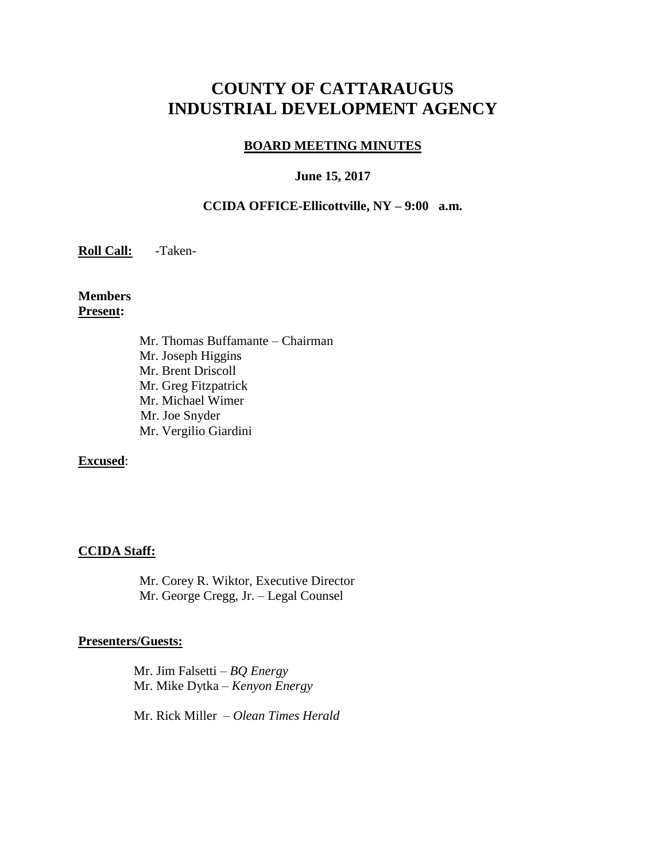# **COUNTY OF CATTARAUGUS INDUSTRIAL DEVELOPMENT AGENCY**

#### **BOARD MEETING MINUTES**

#### **June 15, 2017**

#### **CCIDA OFFICE-Ellicottville, NY – 9:00 a.m.**

**Roll Call:** -Taken-

**Members Present:**

> Mr. Thomas Buffamante – Chairman Mr. Joseph Higgins Mr. Brent Driscoll Mr. Greg Fitzpatrick Mr. Michael Wimer Mr. Joe Snyder Mr. Vergilio Giardini

#### **Excused**:

#### **CCIDA Staff:**

Mr. Corey R. Wiktor, Executive Director Mr. George Cregg, Jr. – Legal Counsel

#### **Presenters/Guests:**

 Mr. Jim Falsetti – *BQ Energy* Mr. Mike Dytka – *Kenyon Energy*

Mr. Rick Miller – *Olean Times Herald*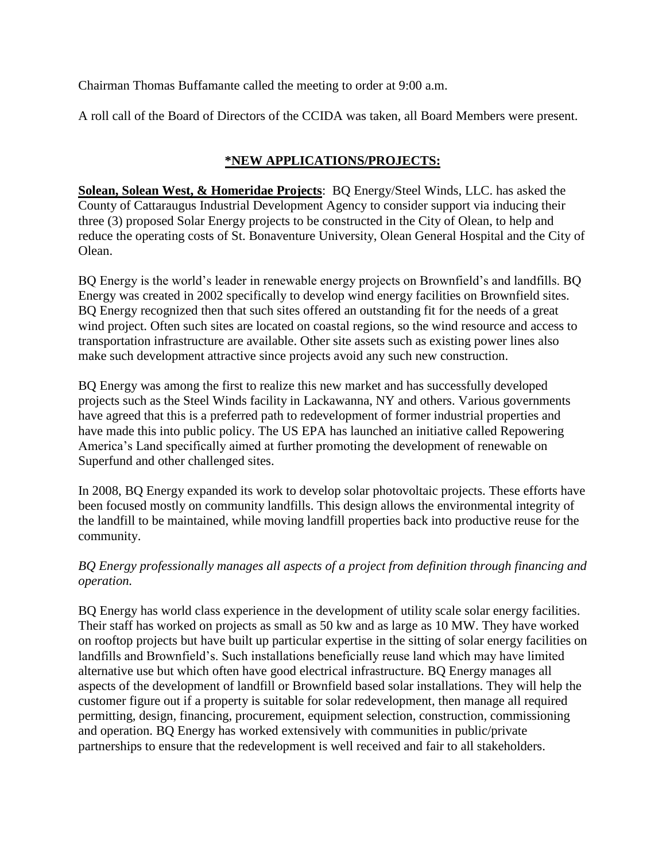Chairman Thomas Buffamante called the meeting to order at 9:00 a.m.

A roll call of the Board of Directors of the CCIDA was taken, all Board Members were present.

# **\*NEW APPLICATIONS/PROJECTS:**

**Solean, Solean West, & Homeridae Projects**: BQ Energy/Steel Winds, LLC. has asked the County of Cattaraugus Industrial Development Agency to consider support via inducing their three (3) proposed Solar Energy projects to be constructed in the City of Olean, to help and reduce the operating costs of St. Bonaventure University, Olean General Hospital and the City of Olean.

BQ Energy is the world's leader in renewable energy projects on Brownfield's and landfills. BQ Energy was created in 2002 specifically to develop wind energy facilities on Brownfield sites. BQ Energy recognized then that such sites offered an outstanding fit for the needs of a great wind project. Often such sites are located on coastal regions, so the wind resource and access to transportation infrastructure are available. Other site assets such as existing power lines also make such development attractive since projects avoid any such new construction.

BQ Energy was among the first to realize this new market and has successfully developed projects such as the Steel Winds facility in Lackawanna, NY and others. Various governments have agreed that this is a preferred path to redevelopment of former industrial properties and have made this into public policy. The US EPA has launched an initiative called Repowering America's Land specifically aimed at further promoting the development of renewable on Superfund and other challenged sites.

In 2008, BQ Energy expanded its work to develop solar photovoltaic projects. These efforts have been focused mostly on community landfills. This design allows the environmental integrity of the landfill to be maintained, while moving landfill properties back into productive reuse for the community.

## *BQ Energy professionally manages all aspects of a project from definition through financing and operation.*

BQ Energy has world class experience in the development of utility scale solar energy facilities. Their staff has worked on projects as small as 50 kw and as large as 10 MW. They have worked on rooftop projects but have built up particular expertise in the sitting of solar energy facilities on landfills and Brownfield's. Such installations beneficially reuse land which may have limited alternative use but which often have good electrical infrastructure. BQ Energy manages all aspects of the development of landfill or Brownfield based solar installations. They will help the customer figure out if a property is suitable for solar redevelopment, then manage all required permitting, design, financing, procurement, equipment selection, construction, commissioning and operation. BQ Energy has worked extensively with communities in public/private partnerships to ensure that the redevelopment is well received and fair to all stakeholders.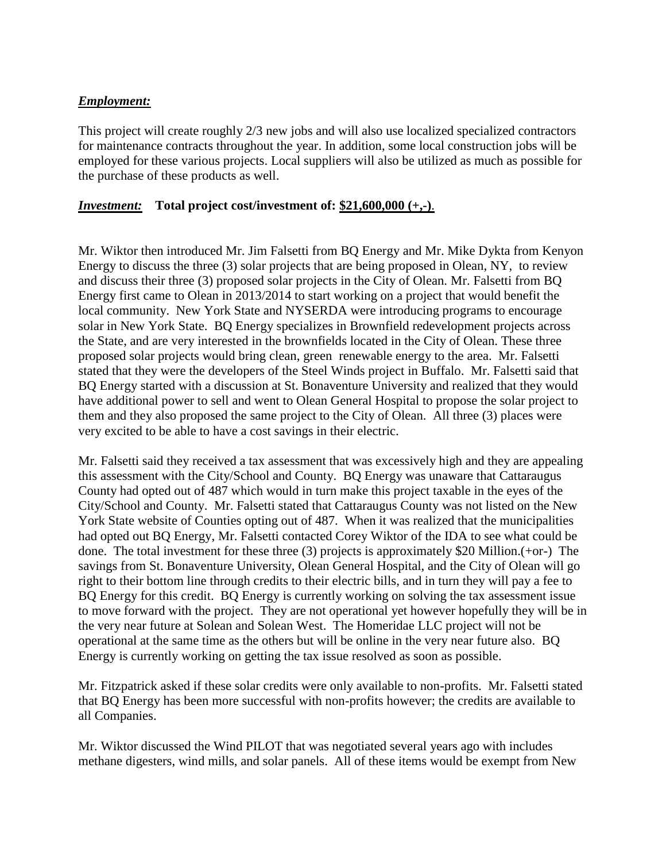#### *Employment:*

This project will create roughly 2/3 new jobs and will also use localized specialized contractors for maintenance contracts throughout the year. In addition, some local construction jobs will be employed for these various projects. Local suppliers will also be utilized as much as possible for the purchase of these products as well.

#### *Investment:* **Total project cost/investment of: \$21,600,000 (+,-)**.

Mr. Wiktor then introduced Mr. Jim Falsetti from BQ Energy and Mr. Mike Dykta from Kenyon Energy to discuss the three (3) solar projects that are being proposed in Olean, NY, to review and discuss their three (3) proposed solar projects in the City of Olean. Mr. Falsetti from BQ Energy first came to Olean in 2013/2014 to start working on a project that would benefit the local community. New York State and NYSERDA were introducing programs to encourage solar in New York State. BQ Energy specializes in Brownfield redevelopment projects across the State, and are very interested in the brownfields located in the City of Olean. These three proposed solar projects would bring clean, green renewable energy to the area. Mr. Falsetti stated that they were the developers of the Steel Winds project in Buffalo. Mr. Falsetti said that BQ Energy started with a discussion at St. Bonaventure University and realized that they would have additional power to sell and went to Olean General Hospital to propose the solar project to them and they also proposed the same project to the City of Olean. All three (3) places were very excited to be able to have a cost savings in their electric.

Mr. Falsetti said they received a tax assessment that was excessively high and they are appealing this assessment with the City/School and County. BQ Energy was unaware that Cattaraugus County had opted out of 487 which would in turn make this project taxable in the eyes of the City/School and County. Mr. Falsetti stated that Cattaraugus County was not listed on the New York State website of Counties opting out of 487. When it was realized that the municipalities had opted out BQ Energy, Mr. Falsetti contacted Corey Wiktor of the IDA to see what could be done. The total investment for these three (3) projects is approximately \$20 Million.(+or-) The savings from St. Bonaventure University, Olean General Hospital, and the City of Olean will go right to their bottom line through credits to their electric bills, and in turn they will pay a fee to BQ Energy for this credit. BQ Energy is currently working on solving the tax assessment issue to move forward with the project. They are not operational yet however hopefully they will be in the very near future at Solean and Solean West. The Homeridae LLC project will not be operational at the same time as the others but will be online in the very near future also. BQ Energy is currently working on getting the tax issue resolved as soon as possible.

Mr. Fitzpatrick asked if these solar credits were only available to non-profits. Mr. Falsetti stated that BQ Energy has been more successful with non-profits however; the credits are available to all Companies.

Mr. Wiktor discussed the Wind PILOT that was negotiated several years ago with includes methane digesters, wind mills, and solar panels. All of these items would be exempt from New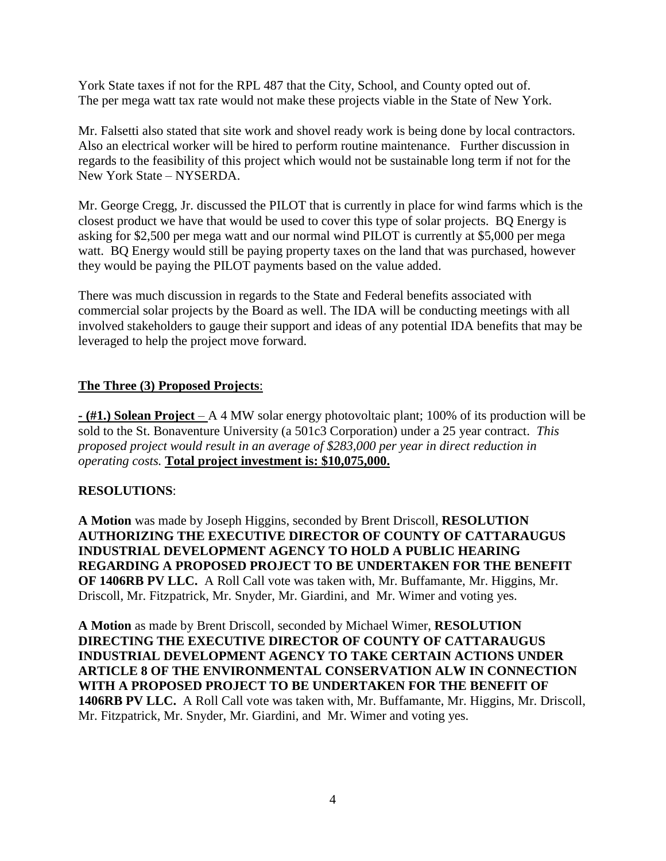York State taxes if not for the RPL 487 that the City, School, and County opted out of. The per mega watt tax rate would not make these projects viable in the State of New York.

Mr. Falsetti also stated that site work and shovel ready work is being done by local contractors. Also an electrical worker will be hired to perform routine maintenance. Further discussion in regards to the feasibility of this project which would not be sustainable long term if not for the New York State – NYSERDA.

Mr. George Cregg, Jr. discussed the PILOT that is currently in place for wind farms which is the closest product we have that would be used to cover this type of solar projects. BQ Energy is asking for \$2,500 per mega watt and our normal wind PILOT is currently at \$5,000 per mega watt. BQ Energy would still be paying property taxes on the land that was purchased, however they would be paying the PILOT payments based on the value added.

There was much discussion in regards to the State and Federal benefits associated with commercial solar projects by the Board as well. The IDA will be conducting meetings with all involved stakeholders to gauge their support and ideas of any potential IDA benefits that may be leveraged to help the project move forward.

### **The Three (3) Proposed Projects**:

**- (#1.) Solean Project** – A 4 MW solar energy photovoltaic plant; 100% of its production will be sold to the St. Bonaventure University (a 501c3 Corporation) under a 25 year contract. *This proposed project would result in an average of \$283,000 per year in direct reduction in operating costs.* **Total project investment is: \$10,075,000.**

# **RESOLUTIONS**:

**A Motion** was made by Joseph Higgins, seconded by Brent Driscoll, **RESOLUTION AUTHORIZING THE EXECUTIVE DIRECTOR OF COUNTY OF CATTARAUGUS INDUSTRIAL DEVELOPMENT AGENCY TO HOLD A PUBLIC HEARING REGARDING A PROPOSED PROJECT TO BE UNDERTAKEN FOR THE BENEFIT OF 1406RB PV LLC.** A Roll Call vote was taken with, Mr. Buffamante, Mr. Higgins, Mr. Driscoll, Mr. Fitzpatrick, Mr. Snyder, Mr. Giardini, and Mr. Wimer and voting yes.

**A Motion** as made by Brent Driscoll, seconded by Michael Wimer, **RESOLUTION DIRECTING THE EXECUTIVE DIRECTOR OF COUNTY OF CATTARAUGUS INDUSTRIAL DEVELOPMENT AGENCY TO TAKE CERTAIN ACTIONS UNDER ARTICLE 8 OF THE ENVIRONMENTAL CONSERVATION ALW IN CONNECTION WITH A PROPOSED PROJECT TO BE UNDERTAKEN FOR THE BENEFIT OF 1406RB PV LLC.** A Roll Call vote was taken with, Mr. Buffamante, Mr. Higgins, Mr. Driscoll, Mr. Fitzpatrick, Mr. Snyder, Mr. Giardini, and Mr. Wimer and voting yes.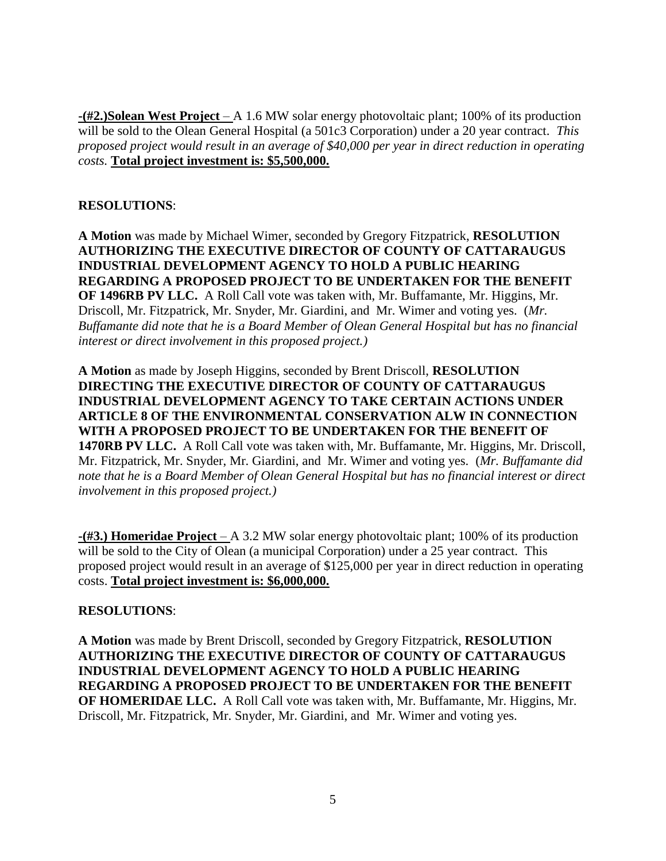**-(#2.)Solean West Project** – A 1.6 MW solar energy photovoltaic plant; 100% of its production will be sold to the Olean General Hospital (a 501c3 Corporation) under a 20 year contract. *This proposed project would result in an average of \$40,000 per year in direct reduction in operating costs.* **Total project investment is: \$5,500,000.**

### **RESOLUTIONS**:

**A Motion** was made by Michael Wimer, seconded by Gregory Fitzpatrick, **RESOLUTION AUTHORIZING THE EXECUTIVE DIRECTOR OF COUNTY OF CATTARAUGUS INDUSTRIAL DEVELOPMENT AGENCY TO HOLD A PUBLIC HEARING REGARDING A PROPOSED PROJECT TO BE UNDERTAKEN FOR THE BENEFIT OF 1496RB PV LLC.** A Roll Call vote was taken with, Mr. Buffamante, Mr. Higgins, Mr. Driscoll, Mr. Fitzpatrick, Mr. Snyder, Mr. Giardini, and Mr. Wimer and voting yes. (*Mr. Buffamante did note that he is a Board Member of Olean General Hospital but has no financial interest or direct involvement in this proposed project.)*

**A Motion** as made by Joseph Higgins, seconded by Brent Driscoll, **RESOLUTION DIRECTING THE EXECUTIVE DIRECTOR OF COUNTY OF CATTARAUGUS INDUSTRIAL DEVELOPMENT AGENCY TO TAKE CERTAIN ACTIONS UNDER ARTICLE 8 OF THE ENVIRONMENTAL CONSERVATION ALW IN CONNECTION WITH A PROPOSED PROJECT TO BE UNDERTAKEN FOR THE BENEFIT OF 1470RB PV LLC.** A Roll Call vote was taken with, Mr. Buffamante, Mr. Higgins, Mr. Driscoll, Mr. Fitzpatrick, Mr. Snyder, Mr. Giardini, and Mr. Wimer and voting yes. (*Mr. Buffamante did note that he is a Board Member of Olean General Hospital but has no financial interest or direct involvement in this proposed project.)*

**-(#3.) Homeridae Project** – A 3.2 MW solar energy photovoltaic plant; 100% of its production will be sold to the City of Olean (a municipal Corporation) under a 25 year contract. This proposed project would result in an average of \$125,000 per year in direct reduction in operating costs. **Total project investment is: \$6,000,000.**

#### **RESOLUTIONS**:

**A Motion** was made by Brent Driscoll, seconded by Gregory Fitzpatrick, **RESOLUTION AUTHORIZING THE EXECUTIVE DIRECTOR OF COUNTY OF CATTARAUGUS INDUSTRIAL DEVELOPMENT AGENCY TO HOLD A PUBLIC HEARING REGARDING A PROPOSED PROJECT TO BE UNDERTAKEN FOR THE BENEFIT OF HOMERIDAE LLC.** A Roll Call vote was taken with, Mr. Buffamante, Mr. Higgins, Mr. Driscoll, Mr. Fitzpatrick, Mr. Snyder, Mr. Giardini, and Mr. Wimer and voting yes.